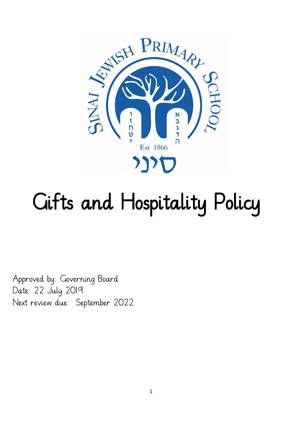

# Gifts and Hospitality Policy

Approved by: Governing Board Date: 22 July 2019 Next review due: September 2022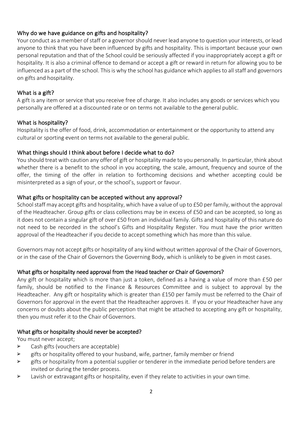## Why do we have guidance on gifts and hospitality?

Your conduct as a member of staff or a governor should never lead anyone to question your interests, or lead anyone to think that you have been influenced by gifts and hospitality. This is important because your own personal reputation and that of the School could be seriously affected if you inappropriately accept a gift or hospitality. It is also a criminal offence to demand or accept a gift or reward in return for allowing you to be influenced as a part of the school. This is why the school has guidance which applies to all staff and governors on gifts and hospitality.

## What is a gift?

A gift is any item or service that you receive free of charge. It also includes any goods or services which you personally are offered at a discounted rate or on terms not available to the general public.

## What is hospitality?

Hospitality is the offer of food, drink, accommodation or entertainment or the opportunity to attend any cultural or sporting event on terms not available to the general public.

## What things should I think about before I decide what to do?

You should treat with caution any offer of gift or hospitality made to you personally. In particular, think about whether there is a benefit to the school in you accepting, the scale, amount, frequency and source of the offer, the timing of the offer in relation to forthcoming decisions and whether accepting could be misinterpreted as a sign of your, or the school's, support or favour.

## What gifts or hospitality can be accepted without any approval?

School staff may accept gifts and hospitality, which have a value of up to £50 per family, without the approval of the Headteacher. Group gifts or class collections may be in excess of £50 and can be accepted, so long as it does not contain a singular gift of over £50 from an individual family. Gifts and hospitality of this nature do not need to be recorded in the school's Gifts and Hospitality Register. You must have the prior written approval of the Headteacher if you decide to accept something which has more than this value.

Governors may not accept gifts or hospitality of any kind without written approval of the Chair of Governors, or in the case of the Chair of Governors the Governing Body, which is unlikely to be given in most cases.

## What gifts or hospitality need approval from the Head teacher or Chair of Governors?

Any gift or hospitality which is more than just a token, defined as a having a value of more than £50 per family, should be notified to the Finance & Resources Committee and is subject to approval by the Headteacher. Any gift or hospitality which is greater than £150 per family must be referred to the Chair of Governors for approval in the event that the Headteacher approves it. If you or your Headteacher have any concerns or doubts about the public perception that might be attached to accepting any gift or hospitality, then you must refer it to the Chair of Governors.

#### What gifts or hospitality should never be accepted?

You must never accept;

- ➢ Cash gifts (vouchers are acceptable)
- $\triangleright$  gifts or hospitality offered to your husband, wife, partner, family member or friend
- $\triangleright$  gifts or hospitality from a potential supplier or tenderer in the immediate period before tenders are invited or during the tender process.
- ➢ Lavish or extravagant gifts or hospitality, even if they relate to activities in your own time.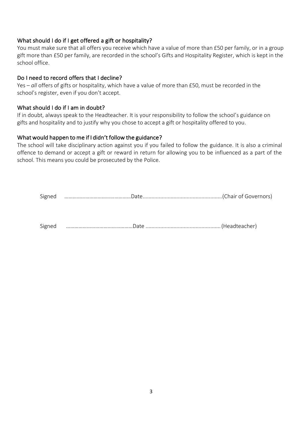## What should I do if I get offered a gift or hospitality?

You must make sure that all offers you receive which have a value of more than £50 per family, or in a group gift more than £50 per family, are recorded in the school's Gifts and Hospitality Register, which is kept in the school office.

## Do I need to record offers that I decline?

Yes – *all* offers of gifts or hospitality, which have a value of more than £50, must be recorded in the school's register, even if you don't accept.

## What should I do if I am in doubt?

If in doubt, always speak to the Headteacher. It is your responsibility to follow the school's guidance on gifts and hospitality and to justify why you chose to accept a gift or hospitality offered to you.

## What would happen to me if I didn't follow the guidance?

The school will take disciplinary action against you if you failed to follow the guidance. It is also a criminal offence to demand or accept a gift or reward in return for allowing you to be influenced as a part of the school. This means you could be prosecuted by the Police.

| Signed music meritian covernors) Date Manuscription (Chair of Governors) |  |
|--------------------------------------------------------------------------|--|
|                                                                          |  |
|                                                                          |  |
| Signed music members (Headteacher)                                       |  |
|                                                                          |  |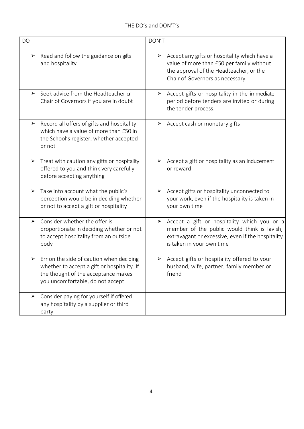| <b>DO</b>             |                                                                                                                                                                    | DON'T                                                                                                                                                                             |
|-----------------------|--------------------------------------------------------------------------------------------------------------------------------------------------------------------|-----------------------------------------------------------------------------------------------------------------------------------------------------------------------------------|
| $\blacktriangleright$ | Read and follow the guidance on gifts<br>and hospitality                                                                                                           | Accept any gifts or hospitality which have a<br>➤<br>value of more than £50 per family without<br>the approval of the Headteacher, or the<br>Chair of Governors as necessary      |
| $\blacktriangleright$ | Seek advice from the Headteacher or<br>Chair of Governors if you are in doubt                                                                                      | Accept gifts or hospitality in the immediate<br>➤<br>period before tenders are invited or during<br>the tender process.                                                           |
| $\blacktriangleright$ | Record all offers of gifts and hospitality<br>which have a value of more than £50 in<br>the School's register, whether accepted<br>or not                          | Accept cash or monetary gifts                                                                                                                                                     |
| $\blacktriangleright$ | Treat with caution any gifts or hospitality<br>offered to you and think very carefully<br>before accepting anything                                                | Accept a gift or hospitality as an inducement<br>➤<br>or reward                                                                                                                   |
| $\blacktriangleright$ | Take into account what the public's<br>perception would be in deciding whether<br>or not to accept a gift or hospitality                                           | Accept gifts or hospitality unconnected to<br>➤<br>your work, even if the hospitality is taken in<br>your own time                                                                |
| $\blacktriangleright$ | Consider whether the offer is<br>proportionate in deciding whether or not<br>to accept hospitality from an outside<br>body                                         | Accept a gift or hospitality which you or a<br>➤<br>member of the public would think is lavish,<br>extravagant or excessive, even if the hospitality<br>is taken in your own time |
| $\blacktriangleright$ | Err on the side of caution when deciding<br>whether to accept a gift or hospitality. If<br>the thought of the acceptance makes<br>you uncomfortable, do not accept | > Accept gifts or hospitality offered to your<br>husband, wife, partner, family member or<br>friend                                                                               |
| ⋗                     | Consider paying for yourself if offered<br>any hospitality by a supplier or third<br>party                                                                         |                                                                                                                                                                                   |